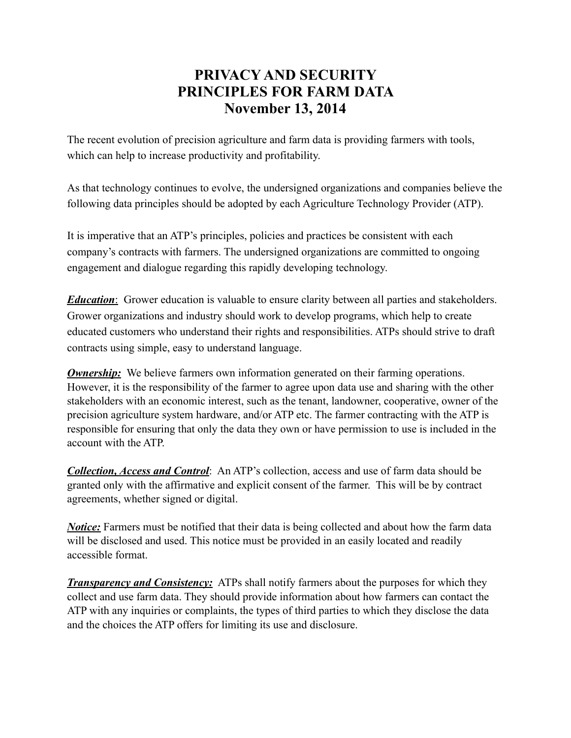## **PRIVACY AND SECURITY PRINCIPLES FOR FARM DATA November 13, 2014**

The recent evolution of precision agriculture and farm data is providing farmers with tools, which can help to increase productivity and profitability.

As that technology continues to evolve, the undersigned organizations and companies believe the following data principles should be adopted by each Agriculture Technology Provider (ATP).

It is imperative that an ATP's principles, policies and practices be consistent with each company's contracts with farmers. The undersigned organizations are committed to ongoing engagement and dialogue regarding this rapidly developing technology.

*Education*: Grower education is valuable to ensure clarity between all parties and stakeholders. Grower organizations and industry should work to develop programs, which help to create educated customers who understand their rights and responsibilities. ATPs should strive to draft contracts using simple, easy to understand language.

*Ownership:* We believe farmers own information generated on their farming operations. However, it is the responsibility of the farmer to agree upon data use and sharing with the other stakeholders with an economic interest, such as the tenant, landowner, cooperative, owner of the precision agriculture system hardware, and/or ATP etc. The farmer contracting with the ATP is responsible for ensuring that only the data they own or have permission to use is included in the account with the ATP.

*Collection, Access and Control*: An ATP's collection, access and use of farm data should be granted only with the affirmative and explicit consent of the farmer. This will be by contract agreements, whether signed or digital.

*Notice:* Farmers must be notified that their data is being collected and about how the farm data will be disclosed and used. This notice must be provided in an easily located and readily accessible format.

*Transparency and Consistency:* ATPs shall notify farmers about the purposes for which they collect and use farm data. They should provide information about how farmers can contact the ATP with any inquiries or complaints, the types of third parties to which they disclose the data and the choices the ATP offers for limiting its use and disclosure.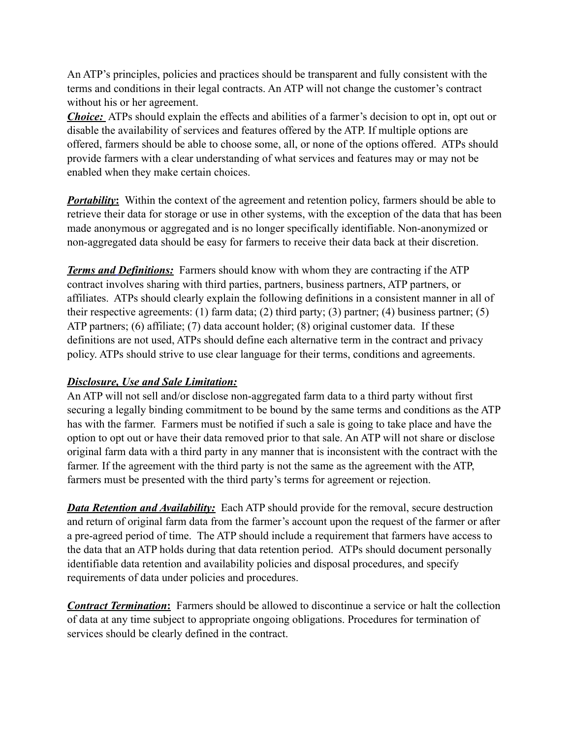An ATP's principles, policies and practices should be transparent and fully consistent with the terms and conditions in their legal contracts. An ATP will not change the customer's contract without his or her agreement.

*Choice:* ATPs should explain the effects and abilities of a farmer's decision to opt in, opt out or disable the availability of services and features offered by the ATP. If multiple options are offered, farmers should be able to choose some, all, or none of the options offered. ATPs should provide farmers with a clear understanding of what services and features may or may not be enabled when they make certain choices.

*Portability*: Within the context of the agreement and retention policy, farmers should be able to retrieve their data for storage or use in other systems, with the exception of the data that has been made anonymous or aggregated and is no longer specifically identifiable. Non-anonymized or non-aggregated data should be easy for farmers to receive their data back at their discretion.

*Terms and Definitions:* Farmers should know with whom they are contracting if the ATP contract involves sharing with third parties, partners, business partners, ATP partners, or affiliates. ATPs should clearly explain the following definitions in a consistent manner in all of their respective agreements: (1) farm data; (2) third party; (3) partner; (4) business partner; (5) ATP partners; (6) affiliate; (7) data account holder; (8) original customer data. If these definitions are not used, ATPs should define each alternative term in the contract and privacy policy. ATPs should strive to use clear language for their terms, conditions and agreements.

## *Disclosure, Use and Sale Limitation:*

An ATP will not sell and/or disclose non-aggregated farm data to a third party without first securing a legally binding commitment to be bound by the same terms and conditions as the ATP has with the farmer. Farmers must be notified if such a sale is going to take place and have the option to opt out or have their data removed prior to that sale. An ATP will not share or disclose original farm data with a third party in any manner that is inconsistent with the contract with the farmer. If the agreement with the third party is not the same as the agreement with the ATP, farmers must be presented with the third party's terms for agreement or rejection.

*Data Retention and Availability:* Each ATP should provide for the removal, secure destruction and return of original farm data from the farmer's account upon the request of the farmer or after a pre-agreed period of time. The ATP should include a requirement that farmers have access to the data that an ATP holds during that data retention period. ATPs should document personally identifiable data retention and availability policies and disposal procedures, and specify requirements of data under policies and procedures.

*Contract Termination***:** Farmers should be allowed to discontinue a service or halt the collection of data at any time subject to appropriate ongoing obligations. Procedures for termination of services should be clearly defined in the contract.